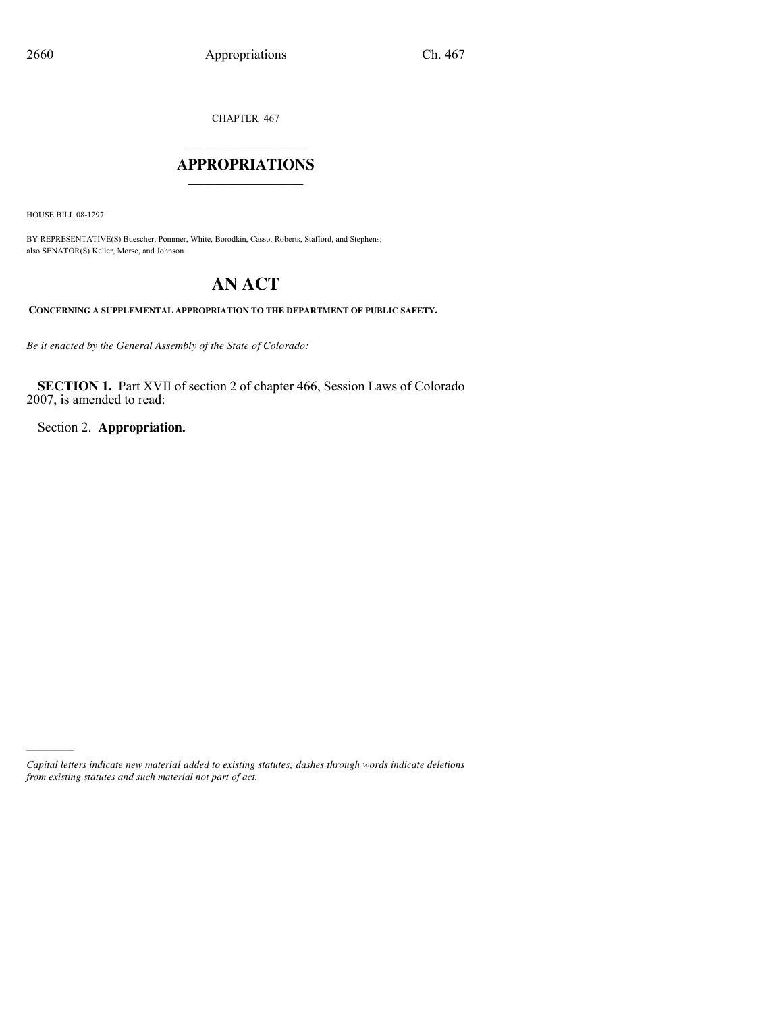CHAPTER 467

### $\mathcal{L}_\text{max}$  , where  $\mathcal{L}_\text{max}$ **APPROPRIATIONS** \_\_\_\_\_\_\_\_\_\_\_\_\_\_\_

HOUSE BILL 08-1297

)))))

BY REPRESENTATIVE(S) Buescher, Pommer, White, Borodkin, Casso, Roberts, Stafford, and Stephens; also SENATOR(S) Keller, Morse, and Johnson.

# **AN ACT**

**CONCERNING A SUPPLEMENTAL APPROPRIATION TO THE DEPARTMENT OF PUBLIC SAFETY.**

*Be it enacted by the General Assembly of the State of Colorado:*

**SECTION 1.** Part XVII of section 2 of chapter 466, Session Laws of Colorado 2007, is amended to read:

Section 2. **Appropriation.**

*Capital letters indicate new material added to existing statutes; dashes through words indicate deletions from existing statutes and such material not part of act.*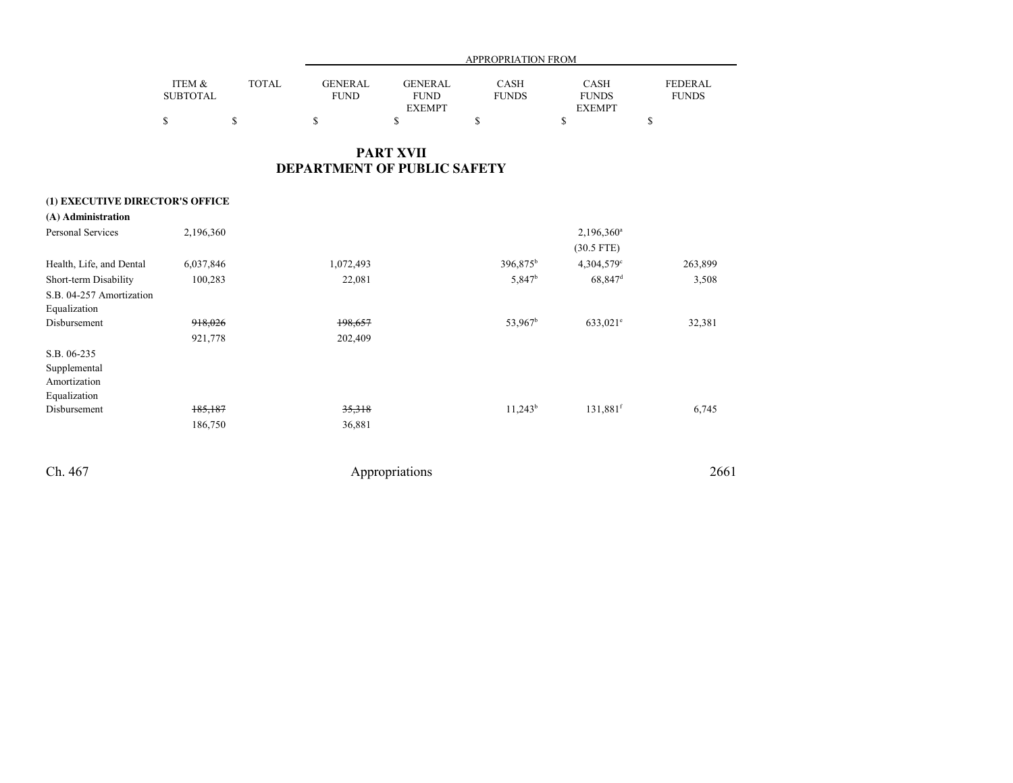|                 |              |             | APPROPRIATION FROM |              |               |                |  |  |  |
|-----------------|--------------|-------------|--------------------|--------------|---------------|----------------|--|--|--|
| ITEM &          | <b>TOTAL</b> | GENERAL     | <b>GENERAL</b>     | <b>CASH</b>  | <b>CASH</b>   | <b>FEDERAL</b> |  |  |  |
| <b>SUBTOTAL</b> |              | <b>FUND</b> | <b>FUND</b>        | <b>FUNDS</b> | <b>FUNDS</b>  | <b>FUNDS</b>   |  |  |  |
|                 |              |             | <b>EXEMPT</b>      |              | <b>EXEMPT</b> |                |  |  |  |
|                 |              |             |                    |              |               |                |  |  |  |

### **PART XVIIDEPARTMENT OF PUBLIC SAFETY**

### **(1) EXECUTIVE DIRECTOR'S OFFICE**

| (A) Administration       |           |           |                      |                          |         |
|--------------------------|-----------|-----------|----------------------|--------------------------|---------|
| Personal Services        | 2,196,360 |           |                      | $2,196,360$ <sup>a</sup> |         |
|                          |           |           |                      | $(30.5$ FTE)             |         |
| Health, Life, and Dental | 6,037,846 | 1,072,493 | 396,875 <sup>b</sup> | $4,304,579^{\circ}$      | 263,899 |
| Short-term Disability    | 100,283   | 22,081    | 5,847 <sup>b</sup>   | 68,847 <sup>d</sup>      | 3,508   |
| S.B. 04-257 Amortization |           |           |                      |                          |         |
| Equalization             |           |           |                      |                          |         |
| Disbursement             | 918,026   | 198,657   | $53,967^b$           | $633,021^e$              | 32,381  |
|                          | 921,778   | 202,409   |                      |                          |         |
| S.B. 06-235              |           |           |                      |                          |         |
| Supplemental             |           |           |                      |                          |         |
| Amortization             |           |           |                      |                          |         |
| Equalization             |           |           |                      |                          |         |
| Disbursement             | 185,187   | 35,318    | $11,243^b$           | 131,881 <sup>f</sup>     | 6,745   |
|                          | 186,750   | 36,881    |                      |                          |         |
|                          |           |           |                      |                          |         |
|                          |           |           |                      |                          |         |

Ch. 467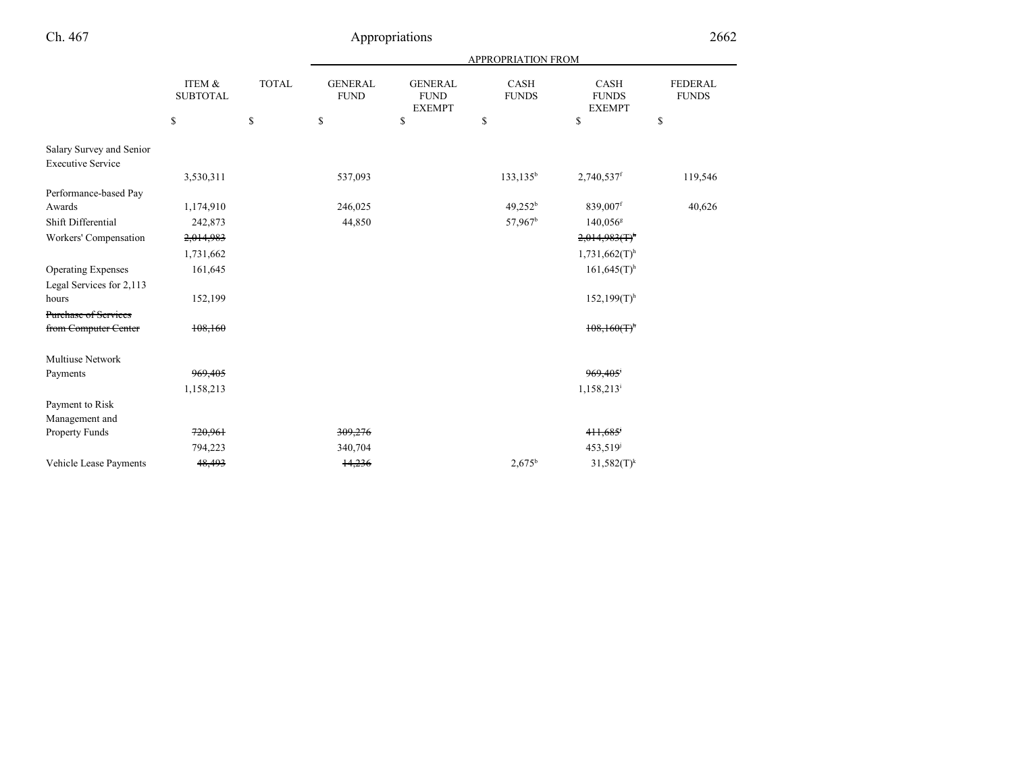|                                                      | ITEM &<br><b>SUBTOTAL</b> |                                             | <b>APPROPRIATION FROM</b> |                               |                                                |                             |                                       |                                |
|------------------------------------------------------|---------------------------|---------------------------------------------|---------------------------|-------------------------------|------------------------------------------------|-----------------------------|---------------------------------------|--------------------------------|
|                                                      |                           | <b>TOTAL</b>                                |                           | <b>GENERAL</b><br><b>FUND</b> | <b>GENERAL</b><br><b>FUND</b><br><b>EXEMPT</b> | <b>CASH</b><br><b>FUNDS</b> | CASH<br><b>FUNDS</b><br><b>EXEMPT</b> | <b>FEDERAL</b><br><b>FUNDS</b> |
|                                                      | \$                        | $\mathbb{S}% _{n}^{X\rightarrow\mathbb{R}}$ | \$                        | $\mathbb{S}$                  | \$                                             | \$                          | \$                                    |                                |
| Salary Survey and Senior<br><b>Executive Service</b> |                           |                                             |                           |                               |                                                |                             |                                       |                                |
|                                                      | 3,530,311                 |                                             | 537,093                   |                               | $133, 135^b$                                   | 2,740,537f                  | 119,546                               |                                |
| Performance-based Pay                                |                           |                                             |                           |                               |                                                |                             |                                       |                                |
| Awards                                               | 1,174,910                 |                                             | 246,025                   |                               | $49,252^b$                                     | 839,007f                    | 40,626                                |                                |
| Shift Differential                                   | 242,873                   |                                             | 44,850                    |                               | 57,967 <sup>b</sup>                            | 140,056 <sup>g</sup>        |                                       |                                |
| Workers' Compensation                                | 2,014,983                 |                                             |                           |                               |                                                | $2,014,983(T)^{n}$          |                                       |                                |
|                                                      | 1,731,662                 |                                             |                           |                               |                                                | $1,731,662(T)$ <sup>h</sup> |                                       |                                |
| <b>Operating Expenses</b>                            | 161,645                   |                                             |                           |                               |                                                | $161,645(T)$ <sup>h</sup>   |                                       |                                |
| Legal Services for 2,113                             |                           |                                             |                           |                               |                                                |                             |                                       |                                |
| hours                                                | 152,199                   |                                             |                           |                               |                                                | $152,199(T)$ <sup>h</sup>   |                                       |                                |
| <b>Purchase of Services</b>                          |                           |                                             |                           |                               |                                                |                             |                                       |                                |
| from Computer Center                                 | 108,160                   |                                             |                           |                               |                                                | $108,160(f)^n$              |                                       |                                |
| <b>Multiuse Network</b>                              |                           |                                             |                           |                               |                                                |                             |                                       |                                |
| Payments                                             | 969,405                   |                                             |                           |                               |                                                | 969,405                     |                                       |                                |
|                                                      | 1,158,213                 |                                             |                           |                               |                                                | $1,158,213$ <sup>i</sup>    |                                       |                                |
| Payment to Risk                                      |                           |                                             |                           |                               |                                                |                             |                                       |                                |
| Management and                                       |                           |                                             |                           |                               |                                                |                             |                                       |                                |
| Property Funds                                       | 720,961                   |                                             | 309,276                   |                               |                                                | 411,685                     |                                       |                                |
|                                                      | 794,223                   |                                             | 340,704                   |                               |                                                | 453,519 <sup>j</sup>        |                                       |                                |
| Vehicle Lease Payments                               | 48,493                    |                                             | 14,236                    |                               | $2,675^{\rm b}$                                | $31,582(T)^k$               |                                       |                                |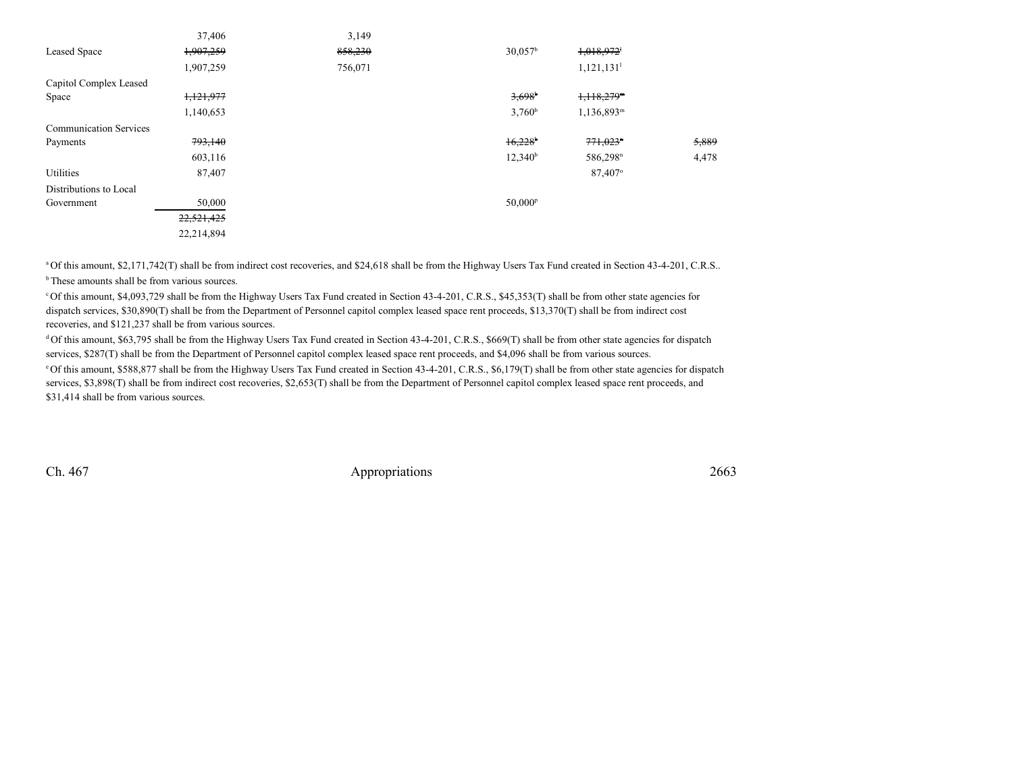|                               | 37,406     | 3,149   |                       |                          |       |
|-------------------------------|------------|---------|-----------------------|--------------------------|-------|
| Leased Space                  | 1,907,259  | 858,230 | 30.057 <sup>b</sup>   | 1,018,972                |       |
|                               | 1,907,259  | 756,071 |                       | 1,121,131 <sup>1</sup>   |       |
| Capitol Complex Leased        |            |         |                       |                          |       |
| Space                         | 1,121,977  |         | $3,698$ <sup>b</sup>  | $1,118,279$ <sup>m</sup> |       |
|                               | 1,140,653  |         | $3,760^{\rm b}$       | $1,136,893^m$            |       |
| <b>Communication Services</b> |            |         |                       |                          |       |
| Payments                      | 793,140    |         | $16,228$ <sup>b</sup> | $771,023$ <sup>n</sup>   | 5,889 |
|                               | 603,116    |         | $12,340^b$            | 586,298 <sup>n</sup>     | 4,478 |
| Utilities                     | 87,407     |         |                       | 87,407°                  |       |
| Distributions to Local        |            |         |                       |                          |       |
| Government                    | 50,000     |         | 50,000 <sup>p</sup>   |                          |       |
|                               | 22,521,425 |         |                       |                          |       |
|                               | 22,214,894 |         |                       |                          |       |
|                               |            |         |                       |                          |       |

<sup>a</sup> Of this amount, \$2,171,742(T) shall be from indirect cost recoveries, and \$24,618 shall be from the Highway Users Tax Fund created in Section 43-4-201, C.R.S..

<sup>b</sup> These amounts shall be from various sources.

c Of this amount, \$4,093,729 shall be from the Highway Users Tax Fund created in Section 43-4-201, C.R.S., \$45,353(T) shall be from other state agencies fordispatch services, \$30,890(T) shall be from the Department of Personnel capitol complex leased space rent proceeds, \$13,370(T) shall be from indirect costrecoveries, and \$121,237 shall be from various sources.

<sup>d</sup>Of this amount, \$63,795 shall be from the Highway Users Tax Fund created in Section 43-4-201, C.R.S., \$669(T) shall be from other state agencies for dispatch services, \$287(T) shall be from the Department of Personnel capitol complex leased space rent proceeds, and \$4,096 shall be from various sources.

e Of this amount, \$588,877 shall be from the Highway Users Tax Fund created in Section 43-4-201, C.R.S., \$6,179(T) shall be from other state agencies for dispatchservices, \$3,898(T) shall be from indirect cost recoveries, \$2,653(T) shall be from the Department of Personnel capitol complex leased space rent proceeds, and \$31,414 shall be from various sources.

Ch. 467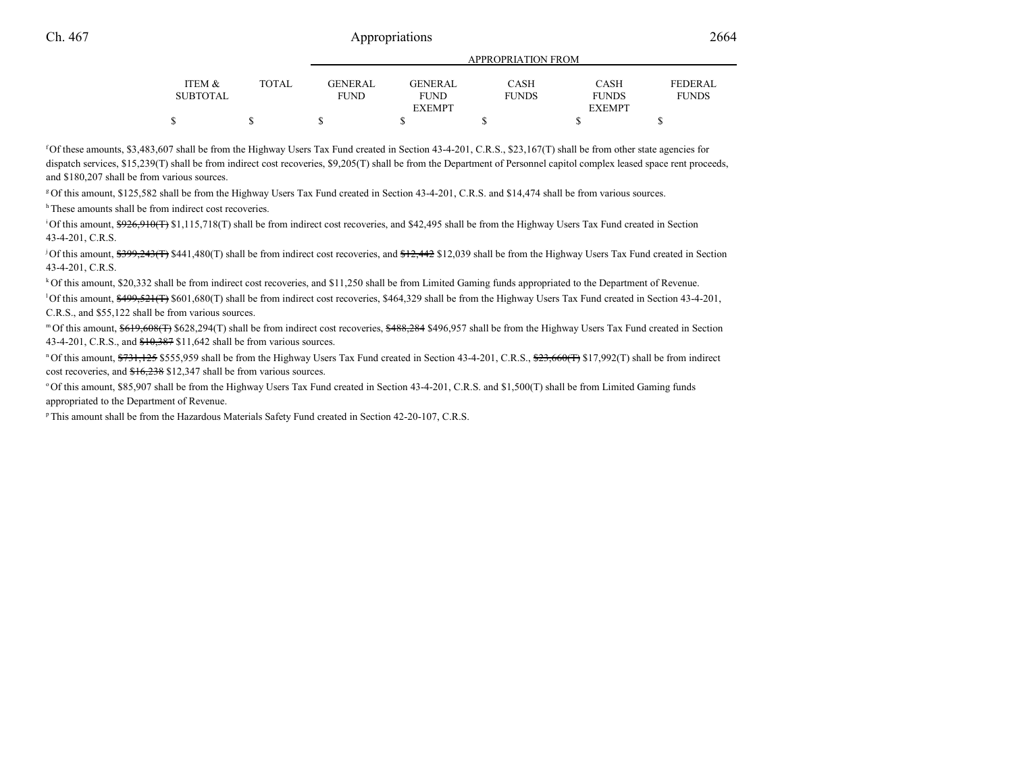| ITEM &<br>SUBTOTAL | <b>TOTAL</b> | <b>GENERAL</b><br><b>FUND</b> | <b>GENERAL</b><br><b>FUND</b> | <b>CASH</b><br><b>FUNDS</b> | <b>CASH</b><br><b>FUNDS</b> | <b>FEDERAL</b><br><b>FUNDS</b> |
|--------------------|--------------|-------------------------------|-------------------------------|-----------------------------|-----------------------------|--------------------------------|
|                    |              |                               | <b>EXEMPT</b>                 |                             | <b>EXEMPT</b>               |                                |
|                    | Φ            |                               |                               |                             |                             |                                |

APPROPRIATION FROM

f Of these amounts, \$3,483,607 shall be from the Highway Users Tax Fund created in Section 43-4-201, C.R.S., \$23,167(T) shall be from other state agencies fordispatch services, \$15,239(T) shall be from indirect cost recoveries, \$9,205(T) shall be from the Department of Personnel capitol complex leased space rent proceeds, and \$180,207 shall be from various sources.

g Of this amount, \$125,582 shall be from the Highway Users Tax Fund created in Section 43-4-201, C.R.S. and \$14,474 shall be from various sources.

<sup>h</sup>These amounts shall be from indirect cost recoveries.

<sup>1</sup>Of this amount, \$926,910(T) \$1,115,718(T) shall be from indirect cost recoveries, and \$42,495 shall be from the Highway Users Tax Fund created in Section 43-4-201, C.R.S.

<sup>j</sup> Of this amount, \$399,243(T) \$441,480(T) shall be from indirect cost recoveries, and \$12,442 \$12,039 shall be from the Highway Users Tax Fund created in Section 43-4-201, C.R.S.

k Of this amount, \$20,332 shall be from indirect cost recoveries, and \$11,250 shall be from Limited Gaming funds appropriated to the Department of Revenue.

<sup>1</sup>Of this amount,  $\frac{499.521(f)}{8601.680(f)}$  shall be from indirect cost recoveries, \$464,329 shall be from the Highway Users Tax Fund created in Section 43-4-201, C.R.S., and \$55,122 shall be from various sources.

m Of this amount,  $$619,608$ (T)  $$628,294$ (T) shall be from indirect cost recoveries,  $$488,284$  \$496,957 shall be from the Highway Users Tax Fund created in Section 43-4-201, C.R.S., and \$10,387 \$11,642 shall be from various sources.

<sup>n</sup>Of this amount, \$731,125 \$555,959 shall be from the Highway Users Tax Fund created in Section 43-4-201, C.R.S., \$23,660(T) \$17,992(T) shall be from indirect cost recoveries, and \$16,238 \$12,347 shall be from various sources.

o Of this amount, \$85,907 shall be from the Highway Users Tax Fund created in Section 43-4-201, C.R.S. and \$1,500(T) shall be from Limited Gaming fundsappropriated to the Department of Revenue.

p This amount shall be from the Hazardous Materials Safety Fund created in Section 42-20-107, C.R.S.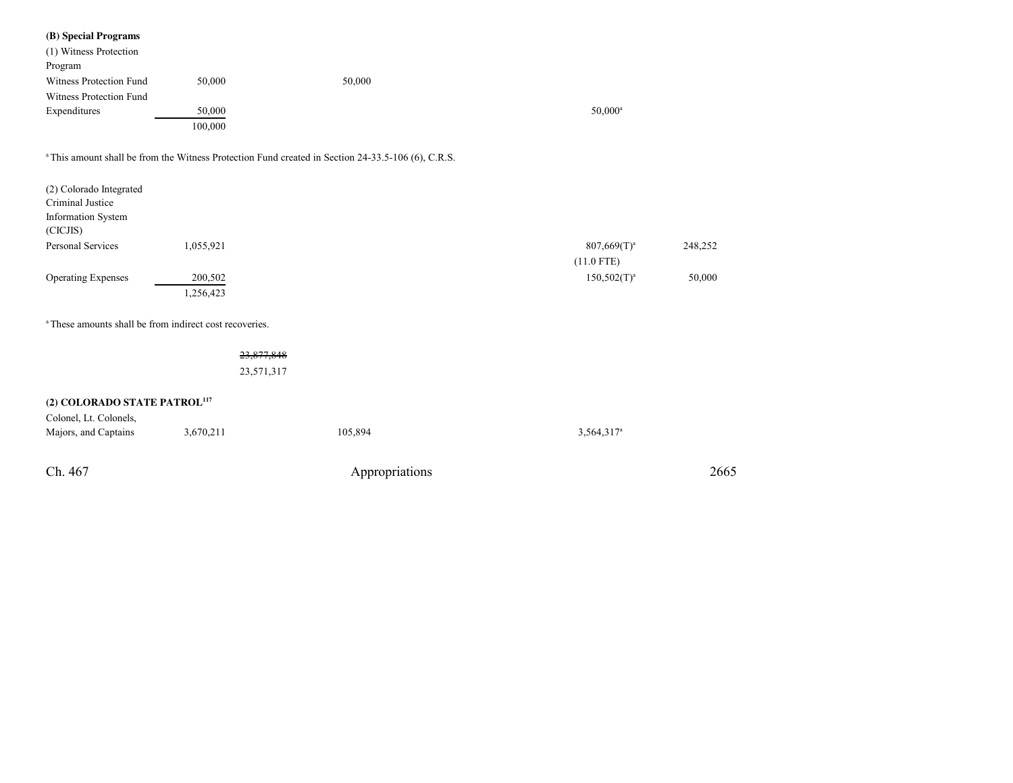#### **(B) Special Programs**

| $(D)$ operating $\epsilon$ and                                     |            |                                                                                                               |                        |         |
|--------------------------------------------------------------------|------------|---------------------------------------------------------------------------------------------------------------|------------------------|---------|
| (1) Witness Protection                                             |            |                                                                                                               |                        |         |
| Program                                                            |            |                                                                                                               |                        |         |
| Witness Protection Fund                                            | 50,000     | 50,000                                                                                                        |                        |         |
| Witness Protection Fund                                            |            |                                                                                                               |                        |         |
| Expenditures                                                       | 50,000     |                                                                                                               | $50,000^a$             |         |
|                                                                    | 100,000    |                                                                                                               |                        |         |
|                                                                    |            | <sup>a</sup> This amount shall be from the Witness Protection Fund created in Section 24-33.5-106 (6), C.R.S. |                        |         |
| (2) Colorado Integrated                                            |            |                                                                                                               |                        |         |
| Criminal Justice                                                   |            |                                                                                                               |                        |         |
| Information System                                                 |            |                                                                                                               |                        |         |
| (CICJIS)                                                           |            |                                                                                                               |                        |         |
| Personal Services                                                  | 1,055,921  |                                                                                                               | $807,669(T)^a$         | 248,252 |
|                                                                    |            |                                                                                                               | $(11.0$ FTE)           |         |
| <b>Operating Expenses</b>                                          | 200,502    |                                                                                                               | $150,502(T)^a$         | 50,000  |
|                                                                    | 1,256,423  |                                                                                                               |                        |         |
|                                                                    |            |                                                                                                               |                        |         |
| <sup>a</sup> These amounts shall be from indirect cost recoveries. |            |                                                                                                               |                        |         |
|                                                                    | 23,877,848 |                                                                                                               |                        |         |
|                                                                    | 23,571,317 |                                                                                                               |                        |         |
|                                                                    |            |                                                                                                               |                        |         |
| (2) COLORADO STATE PATROL <sup>117</sup>                           |            |                                                                                                               |                        |         |
| Colonel, Lt. Colonels,                                             |            |                                                                                                               |                        |         |
| Majors, and Captains                                               | 3,670,211  | 105,894                                                                                                       | 3,564,317 <sup>a</sup> |         |
|                                                                    |            |                                                                                                               |                        |         |

Ch. 467Appropriations <sup>2665</sup>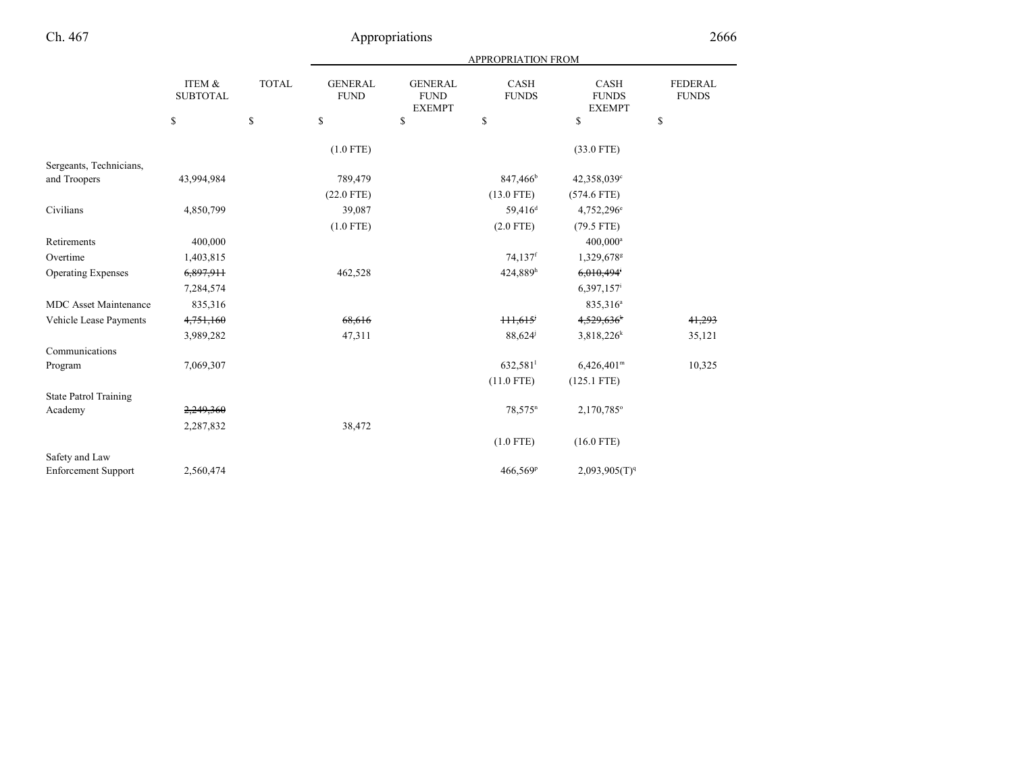|                              |                           |              | <b>APPROPRIATION FROM</b>     |                                                |                       |                                              |                                |  |
|------------------------------|---------------------------|--------------|-------------------------------|------------------------------------------------|-----------------------|----------------------------------------------|--------------------------------|--|
|                              | ITEM &<br><b>SUBTOTAL</b> | <b>TOTAL</b> | <b>GENERAL</b><br><b>FUND</b> | <b>GENERAL</b><br><b>FUND</b><br><b>EXEMPT</b> | CASH<br><b>FUNDS</b>  | <b>CASH</b><br><b>FUNDS</b><br><b>EXEMPT</b> | <b>FEDERAL</b><br><b>FUNDS</b> |  |
|                              | \$                        | $\mathbb{S}$ | $\mathbb{S}$                  | $\mathbb{S}$                                   | \$                    | \$                                           | \$                             |  |
|                              |                           |              | $(1.0$ FTE)                   |                                                |                       | $(33.0$ FTE)                                 |                                |  |
| Sergeants, Technicians,      |                           |              |                               |                                                |                       |                                              |                                |  |
| and Troopers                 | 43,994,984                |              | 789,479                       |                                                | 847,466 <sup>b</sup>  | 42,358,039 <sup>c</sup>                      |                                |  |
|                              |                           |              | $(22.0$ FTE)                  |                                                | $(13.0$ FTE)          | $(574.6$ FTE)                                |                                |  |
| Civilians                    | 4,850,799                 |              | 39,087                        |                                                | 59,416 <sup>d</sup>   | 4,752,296 <sup>e</sup>                       |                                |  |
|                              |                           |              | $(1.0$ FTE)                   |                                                | $(2.0$ FTE)           | $(79.5$ FTE)                                 |                                |  |
| Retirements                  | 400,000                   |              |                               |                                                |                       | $400,000^a$                                  |                                |  |
| Overtime                     | 1,403,815                 |              |                               |                                                | $74,137$ <sup>f</sup> | 1,329,678                                    |                                |  |
| <b>Operating Expenses</b>    | 6,897,911                 |              | 462,528                       |                                                | 424,889h              | 6,010,494                                    |                                |  |
|                              | 7,284,574                 |              |                               |                                                |                       | 6,397,157                                    |                                |  |
| <b>MDC</b> Asset Maintenance | 835,316                   |              |                               |                                                |                       | 835,316 <sup>a</sup>                         |                                |  |
| Vehicle Lease Payments       | 4,751,160                 |              | 68,616                        |                                                | $\frac{111.615}{2}$   | 4,529,636*                                   | 41,293                         |  |
|                              | 3,989,282                 |              | 47,311                        |                                                | 88,624                | $3,818,226^k$                                | 35,121                         |  |
| Communications               |                           |              |                               |                                                |                       |                                              |                                |  |
| Program                      | 7,069,307                 |              |                               |                                                | 632,581               | $6,426,401^m$                                | 10,325                         |  |
|                              |                           |              |                               |                                                | $(11.0$ FTE)          | $(125.1$ FTE)                                |                                |  |
| <b>State Patrol Training</b> |                           |              |                               |                                                |                       |                                              |                                |  |
| Academy                      | 2,249,360                 |              |                               |                                                | $78,575$ <sup>n</sup> | 2,170,785°                                   |                                |  |
|                              | 2,287,832                 |              | 38,472                        |                                                |                       |                                              |                                |  |
|                              |                           |              |                               |                                                | $(1.0$ FTE)           | $(16.0$ FTE)                                 |                                |  |
| Safety and Law               |                           |              |                               |                                                |                       |                                              |                                |  |
| <b>Enforcement Support</b>   | 2,560,474                 |              |                               |                                                | 466,569 <sup>p</sup>  | 2,093,905(T) <sup>q</sup>                    |                                |  |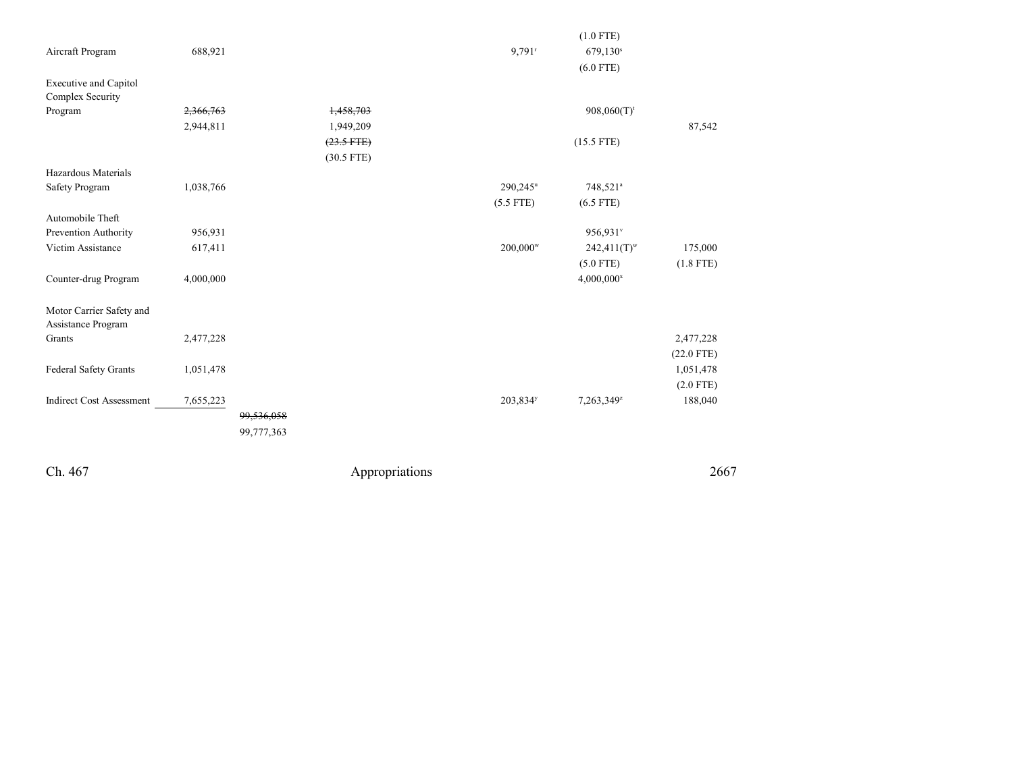|                                 |           |            |              |                      | $(1.0$ FTE)               |              |
|---------------------------------|-----------|------------|--------------|----------------------|---------------------------|--------------|
| Aircraft Program                | 688,921   |            |              | $9,791$ <sup>r</sup> | 679,130 <sup>s</sup>      |              |
|                                 |           |            |              |                      | $(6.0$ FTE)               |              |
| <b>Executive and Capitol</b>    |           |            |              |                      |                           |              |
| Complex Security                |           |            |              |                      |                           |              |
| Program                         | 2,366,763 |            | 1,458,703    |                      | $908,060(T)$ <sup>t</sup> |              |
|                                 | 2,944,811 |            | 1,949,209    |                      |                           | 87,542       |
|                                 |           |            | $(23.5$ FTE) |                      | $(15.5$ FTE)              |              |
|                                 |           |            | $(30.5$ FTE) |                      |                           |              |
| Hazardous Materials             |           |            |              |                      |                           |              |
| Safety Program                  | 1,038,766 |            |              | 290,245 <sup>u</sup> | 748,521 <sup>a</sup>      |              |
|                                 |           |            |              | $(5.5$ FTE)          | $(6.5$ FTE)               |              |
| Automobile Theft                |           |            |              |                      |                           |              |
| Prevention Authority            | 956,931   |            |              |                      | 956,931°                  |              |
| Victim Assistance               | 617,411   |            |              | 200,000 <sup>w</sup> | $242,411(T)^{w}$          | 175,000      |
|                                 |           |            |              |                      | $(5.0$ FTE)               | $(1.8$ FTE)  |
| Counter-drug Program            | 4,000,000 |            |              |                      | $4,000,000^x$             |              |
|                                 |           |            |              |                      |                           |              |
| Motor Carrier Safety and        |           |            |              |                      |                           |              |
| Assistance Program              |           |            |              |                      |                           |              |
| Grants                          | 2,477,228 |            |              |                      |                           | 2,477,228    |
|                                 |           |            |              |                      |                           | $(22.0$ FTE) |
| Federal Safety Grants           | 1,051,478 |            |              |                      |                           | 1,051,478    |
|                                 |           |            |              |                      |                           | $(2.0$ FTE)  |
| <b>Indirect Cost Assessment</b> | 7,655,223 |            |              | 203,834 <sup>y</sup> | 7,263,349z                | 188,040      |
|                                 |           | 99,536,058 |              |                      |                           |              |
|                                 |           | 99,777,363 |              |                      |                           |              |
|                                 |           |            |              |                      |                           |              |
|                                 |           |            |              |                      |                           |              |

Ch. 467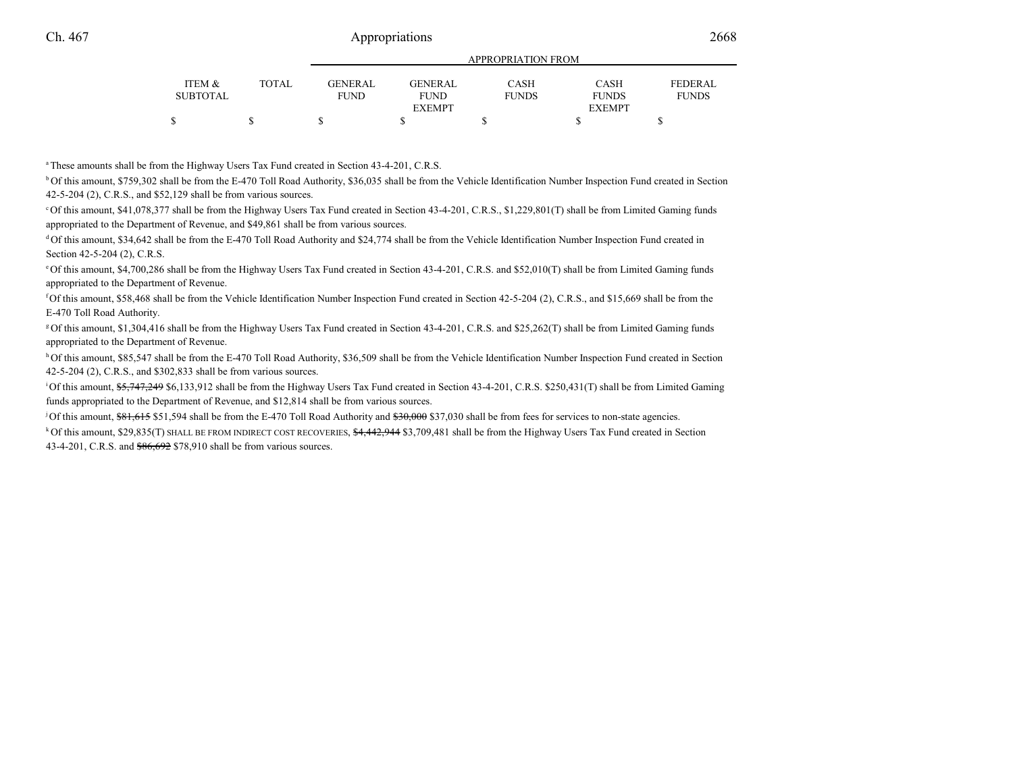|          |       |                |                | APPROPRIATION FROM |               |                |
|----------|-------|----------------|----------------|--------------------|---------------|----------------|
| ITEM &   | TOTAL | <b>GENERAL</b> | <b>GENERAL</b> | <b>CASH</b>        | <b>CASH</b>   | <b>FEDERAL</b> |
| SUBTOTAL |       | FUND           | <b>FUND</b>    | <b>FUNDS</b>       | <b>FUNDS</b>  | <b>FUNDS</b>   |
|          |       |                | <b>EXEMPT</b>  |                    | <b>EXEMPT</b> |                |
|          |       |                |                |                    |               |                |
|          |       |                |                |                    |               |                |

<sup>a</sup> These amounts shall be from the Highway Users Tax Fund created in Section 43-4-201, C.R.S.

b Of this amount, \$759,302 shall be from the E-470 Toll Road Authority, \$36,035 shall be from the Vehicle Identification Number Inspection Fund created in Section42-5-204 (2), C.R.S., and \$52,129 shall be from various sources.

c Of this amount, \$41,078,377 shall be from the Highway Users Tax Fund created in Section 43-4-201, C.R.S., \$1,229,801(T) shall be from Limited Gaming fundsappropriated to the Department of Revenue, and \$49,861 shall be from various sources.

<sup>d</sup>Of this amount, \$34,642 shall be from the E-470 Toll Road Authority and \$24,774 shall be from the Vehicle Identification Number Inspection Fund created in Section 42-5-204 (2), C.R.S.

e Of this amount, \$4,700,286 shall be from the Highway Users Tax Fund created in Section 43-4-201, C.R.S. and \$52,010(T) shall be from Limited Gaming fundsappropriated to the Department of Revenue.

f Of this amount, \$58,468 shall be from the Vehicle Identification Number Inspection Fund created in Section 42-5-204 (2), C.R.S., and \$15,669 shall be from theE-470 Toll Road Authority.

g Of this amount, \$1,304,416 shall be from the Highway Users Tax Fund created in Section 43-4-201, C.R.S. and \$25,262(T) shall be from Limited Gaming fundsappropriated to the Department of Revenue.

h Of this amount, \$85,547 shall be from the E-470 Toll Road Authority, \$36,509 shall be from the Vehicle Identification Number Inspection Fund created in Section 42-5-204 (2), C.R.S., and \$302,833 shall be from various sources.

<sup>1</sup>Of this amount,  $\frac{65,747,249}{20,133,912}$  shall be from the Highway Users Tax Fund created in Section 43-4-201, C.R.S. \$250,431(T) shall be from Limited Gaming funds appropriated to the Department of Revenue, and \$12,814 shall be from various sources.

<sup>j</sup> Of this amount,  $$81,615$  \$51,594 shall be from the E-470 Toll Road Authority and  $$30,000$  \$37,030 shall be from fees for services to non-state agencies.

<sup>k</sup>Of this amount, \$29,835(T) SHALL BE FROM INDIRECT COST RECOVERIES, \$4,442,944 \$3,709,481 shall be from the Highway Users Tax Fund created in Section43-4-201, C.R.S. and \$86,692 \$78,910 shall be from various sources.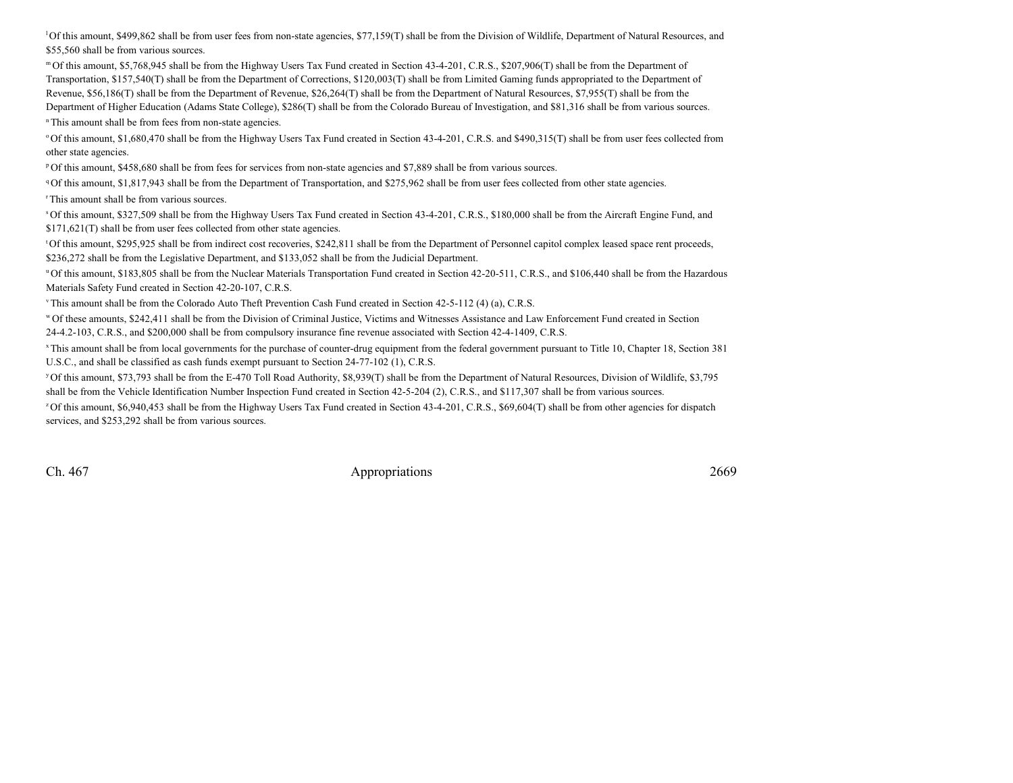$^{1}$ Of this amount, \$499,862 shall be from user fees from non-state agencies, \$77,159(T) shall be from the Division of Wildlife, Department of Natural Resources, and \$55,560 shall be from various sources.

m Of this amount, \$5,768,945 shall be from the Highway Users Tax Fund created in Section 43-4-201, C.R.S., \$207,906(T) shall be from the Department of Transportation, \$157,540(T) shall be from the Department of Corrections, \$120,003(T) shall be from Limited Gaming funds appropriated to the Department ofRevenue, \$56,186(T) shall be from the Department of Revenue, \$26,264(T) shall be from the Department of Natural Resources, \$7,955(T) shall be from theDepartment of Higher Education (Adams State College), \$286(T) shall be from the Colorado Bureau of Investigation, and \$81,316 shall be from various sources.

n This amount shall be from fees from non-state agencies.

o Of this amount, \$1,680,470 shall be from the Highway Users Tax Fund created in Section 43-4-201, C.R.S. and \$490,315(T) shall be from user fees collected fromother state agencies.

p Of this amount, \$458,680 shall be from fees for services from non-state agencies and \$7,889 shall be from various sources.

<sup>q</sup> Of this amount, \$1,817,943 shall be from the Department of Transportation, and \$275,962 shall be from user fees collected from other state agencies.

r This amount shall be from various sources.

s Of this amount, \$327,509 shall be from the Highway Users Tax Fund created in Section 43-4-201, C.R.S., \$180,000 shall be from the Aircraft Engine Fund, and\$171,621(T) shall be from user fees collected from other state agencies.

<sup>t</sup>Of this amount, \$295,925 shall be from indirect cost recoveries, \$242,811 shall be from the Department of Personnel capitol complex leased space rent proceeds, \$236,272 shall be from the Legislative Department, and \$133,052 shall be from the Judicial Department.

u Of this amount, \$183,805 shall be from the Nuclear Materials Transportation Fund created in Section 42-20-511, C.R.S., and \$106,440 shall be from the HazardousMaterials Safety Fund created in Section 42-20-107, C.R.S.

v This amount shall be from the Colorado Auto Theft Prevention Cash Fund created in Section 42-5-112 (4) (a), C.R.S.

w Of these amounts, \$242,411 shall be from the Division of Criminal Justice, Victims and Witnesses Assistance and Law Enforcement Fund created in Section24-4.2-103, C.R.S., and \$200,000 shall be from compulsory insurance fine revenue associated with Section 42-4-1409, C.R.S.

x This amount shall be from local governments for the purchase of counter-drug equipment from the federal government pursuant to Title 10, Chapter 18, Section 381U.S.C., and shall be classified as cash funds exempt pursuant to Section 24-77-102 (1), C.R.S.

y Of this amount, \$73,793 shall be from the E-470 Toll Road Authority, \$8,939(T) shall be from the Department of Natural Resources, Division of Wildlife, \$3,795shall be from the Vehicle Identification Number Inspection Fund created in Section 42-5-204 (2), C.R.S., and \$117,307 shall be from various sources.

z Of this amount, \$6,940,453 shall be from the Highway Users Tax Fund created in Section 43-4-201, C.R.S., \$69,604(T) shall be from other agencies for dispatchservices, and \$253,292 shall be from various sources.

Ch. 467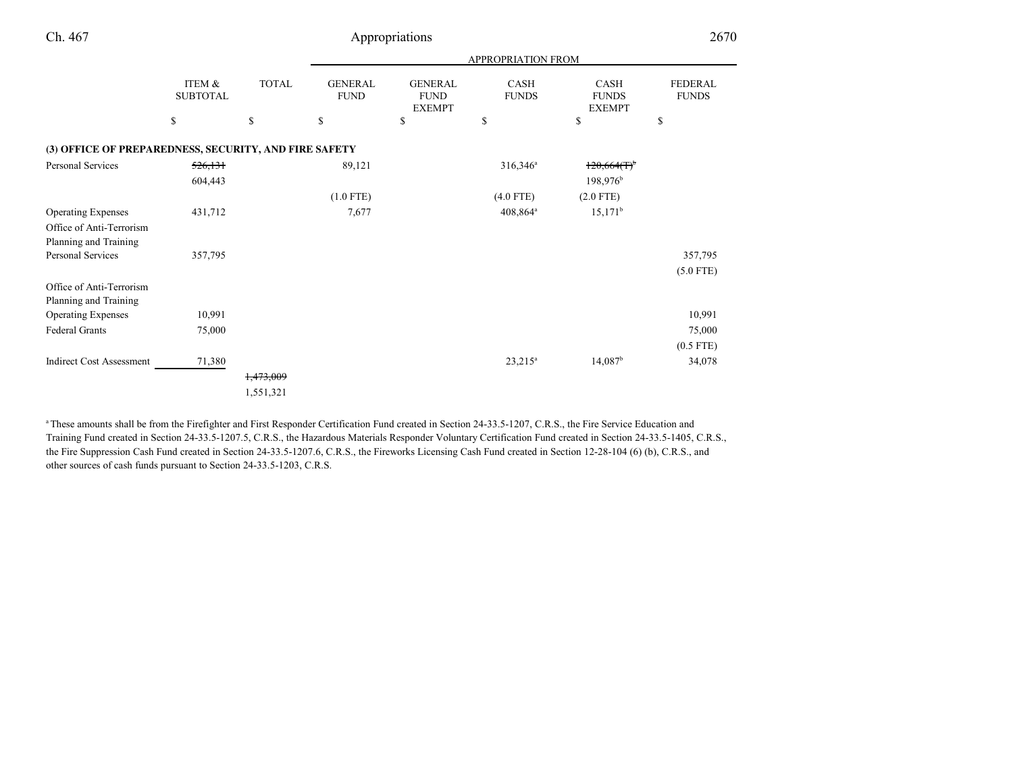|                                                       |                           |              | <b>APPROPRIATION FROM</b>     |                                                |                             |                                       |                                |
|-------------------------------------------------------|---------------------------|--------------|-------------------------------|------------------------------------------------|-----------------------------|---------------------------------------|--------------------------------|
|                                                       | ITEM &<br><b>SUBTOTAL</b> | <b>TOTAL</b> | <b>GENERAL</b><br><b>FUND</b> | <b>GENERAL</b><br><b>FUND</b><br><b>EXEMPT</b> | <b>CASH</b><br><b>FUNDS</b> | CASH<br><b>FUNDS</b><br><b>EXEMPT</b> | <b>FEDERAL</b><br><b>FUNDS</b> |
|                                                       | \$                        | \$           | \$                            | \$                                             | \$                          | \$                                    | \$                             |
| (3) OFFICE OF PREPAREDNESS, SECURITY, AND FIRE SAFETY |                           |              |                               |                                                |                             |                                       |                                |
| Personal Services                                     | <del>526,131</del>        |              | 89,121                        |                                                | $316,346^a$                 | $120,664$ (T) <sup>b</sup>            |                                |
|                                                       | 604,443                   |              |                               |                                                |                             | 198,976 <sup>b</sup>                  |                                |
|                                                       |                           |              | $(1.0$ FTE)                   |                                                | $(4.0$ FTE)                 | $(2.0$ FTE)                           |                                |
| <b>Operating Expenses</b>                             | 431,712                   |              | 7,677                         |                                                | $408,864^{\circ}$           | $15,171^b$                            |                                |
| Office of Anti-Terrorism                              |                           |              |                               |                                                |                             |                                       |                                |
| Planning and Training                                 |                           |              |                               |                                                |                             |                                       |                                |
| Personal Services                                     | 357,795                   |              |                               |                                                |                             |                                       | 357,795                        |
|                                                       |                           |              |                               |                                                |                             |                                       | $(5.0$ FTE)                    |
| Office of Anti-Terrorism                              |                           |              |                               |                                                |                             |                                       |                                |
| Planning and Training                                 |                           |              |                               |                                                |                             |                                       |                                |
| <b>Operating Expenses</b>                             | 10,991                    |              |                               |                                                |                             |                                       | 10,991                         |
| Federal Grants                                        | 75,000                    |              |                               |                                                |                             |                                       | 75,000                         |
|                                                       |                           |              |                               |                                                |                             |                                       | $(0.5$ FTE)                    |
| <b>Indirect Cost Assessment</b>                       | 71,380                    |              |                               |                                                | $23,215^a$                  | $14,087$ <sup>b</sup>                 | 34,078                         |
|                                                       |                           | 1,473,009    |                               |                                                |                             |                                       |                                |
|                                                       |                           | 1,551,321    |                               |                                                |                             |                                       |                                |
|                                                       |                           |              |                               |                                                |                             |                                       |                                |

<sup>a</sup> These amounts shall be from the Firefighter and First Responder Certification Fund created in Section 24-33.5-1207, C.R.S., the Fire Service Education and Training Fund created in Section 24-33.5-1207.5, C.R.S., the Hazardous Materials Responder Voluntary Certification Fund created in Section 24-33.5-1405, C.R.S.,the Fire Suppression Cash Fund created in Section 24-33.5-1207.6, C.R.S., the Fireworks Licensing Cash Fund created in Section 12-28-104 (6) (b), C.R.S., andother sources of cash funds pursuant to Section 24-33.5-1203, C.R.S.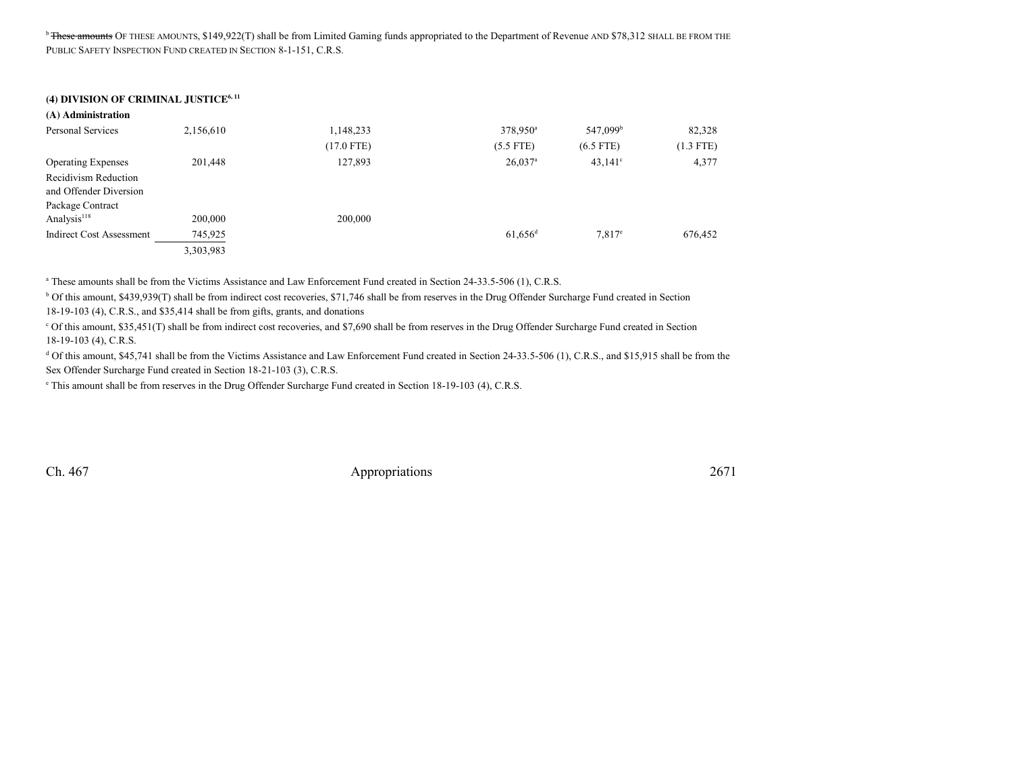<sup>b</sup> <del>These amounts</del> OF THESE AMOUNTS, \$149,922(T) shall be from Limited Gaming funds appropriated to the Department of Revenue AND \$78,312 SHALL BE FROM THE PUBLIC SAFETY INSPECTION FUND CREATED IN SECTION 8-1-151, C.R.S.

#### **(4) DIVISION OF CRIMINAL JUSTICE6, 11**

| (A) Administration        |           |              |                       |                      |             |
|---------------------------|-----------|--------------|-----------------------|----------------------|-------------|
| Personal Services         | 2,156,610 | 1,148,233    | 378,950 <sup>a</sup>  | 547,099 <sup>b</sup> | 82,328      |
|                           |           | $(17.0$ FTE) | $(5.5$ FTE)           | $(6.5$ FTE)          | $(1.3$ FTE) |
| <b>Operating Expenses</b> | 201,448   | 127,893      | $26,037$ <sup>a</sup> | $43.141^{\circ}$     | 4,377       |
| Recidivism Reduction      |           |              |                       |                      |             |
| and Offender Diversion    |           |              |                       |                      |             |
| Package Contract          |           |              |                       |                      |             |
| Analysis <sup>118</sup>   | 200,000   | 200,000      |                       |                      |             |
| Indirect Cost Assessment  | 745,925   |              | $61,656$ <sup>d</sup> | $7.817^e$            | 676,452     |
|                           | 3,303,983 |              |                       |                      |             |

<sup>a</sup> These amounts shall be from the Victims Assistance and Law Enforcement Fund created in Section 24-33.5-506 (1), C.R.S.

b Of this amount, \$439,939(T) shall be from indirect cost recoveries, \$71,746 shall be from reserves in the Drug Offender Surcharge Fund created in Section18-19-103 (4), C.R.S., and \$35,414 shall be from gifts, grants, and donations

<sup>c</sup> Of this amount, \$35,451(T) shall be from indirect cost recoveries, and \$7,690 shall be from reserves in the Drug Offender Surcharge Fund created in Section 18-19-103 (4), C.R.S.

<sup>d</sup> Of this amount, \$45,741 shall be from the Victims Assistance and Law Enforcement Fund created in Section 24-33.5-506 (1), C.R.S., and \$15,915 shall be from the Sex Offender Surcharge Fund created in Section 18-21-103 (3), C.R.S.

e This amount shall be from reserves in the Drug Offender Surcharge Fund created in Section 18-19-103 (4), C.R.S.

Ch. 467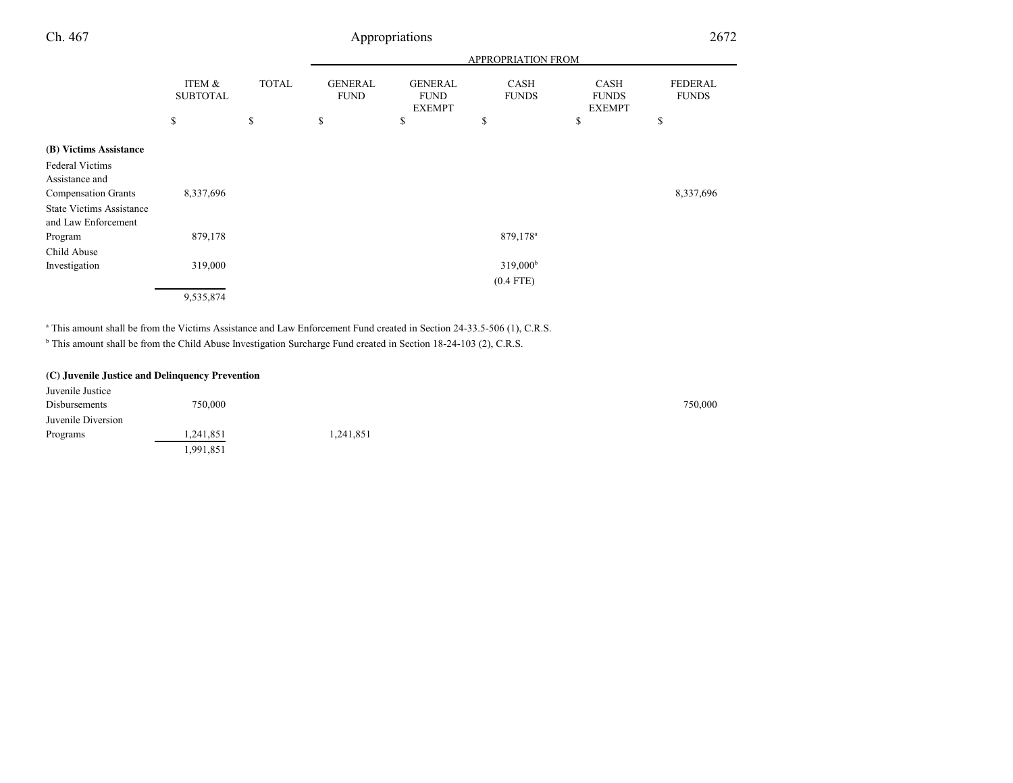|                           |                    |                               |                               |                                 |                                              | 2672                           |
|---------------------------|--------------------|-------------------------------|-------------------------------|---------------------------------|----------------------------------------------|--------------------------------|
|                           |                    |                               | <b>APPROPRIATION FROM</b>     |                                 |                                              |                                |
| ITEM &<br><b>SUBTOTAL</b> | <b>TOTAL</b>       | <b>GENERAL</b><br><b>FUND</b> | <b>GENERAL</b><br><b>FUND</b> | <b>CASH</b><br><b>FUNDS</b>     | <b>CASH</b><br><b>FUNDS</b>                  | <b>FEDERAL</b><br><b>FUNDS</b> |
| \$                        | \$                 | \$                            | \$                            | \$                              | \$                                           | \$                             |
|                           |                    |                               |                               |                                 |                                              |                                |
|                           |                    |                               |                               |                                 |                                              |                                |
|                           |                    |                               |                               |                                 |                                              |                                |
| 8,337,696                 |                    |                               |                               |                                 |                                              | 8,337,696                      |
|                           |                    |                               |                               |                                 |                                              |                                |
|                           |                    |                               |                               |                                 |                                              |                                |
|                           |                    |                               |                               |                                 |                                              |                                |
|                           |                    |                               |                               |                                 |                                              |                                |
|                           |                    |                               |                               |                                 |                                              |                                |
|                           |                    |                               |                               | $(0.4$ FTE)                     |                                              |                                |
| 9,535,874                 |                    |                               |                               |                                 |                                              |                                |
|                           | 879,178<br>319,000 |                               |                               | Appropriations<br><b>EXEMPT</b> | 879,178 <sup>a</sup><br>319,000 <sup>b</sup> | <b>EXEMPT</b>                  |

<sup>a</sup> This amount shall be from the Victims Assistance and Law Enforcement Fund created in Section 24-33.5-506 (1), C.R.S.

<sup>b</sup> This amount shall be from the Child Abuse Investigation Surcharge Fund created in Section 18-24-103 (2), C.R.S.

#### **(C) Juvenile Justice and Delinquency Prevention**

| Juvenile Justice   |           |          |         |
|--------------------|-----------|----------|---------|
| Disbursements      | 750,000   |          | 750,000 |
| Juvenile Diversion |           |          |         |
| Programs           | 1,241,851 | .241,851 |         |
|                    | 1,991,851 |          |         |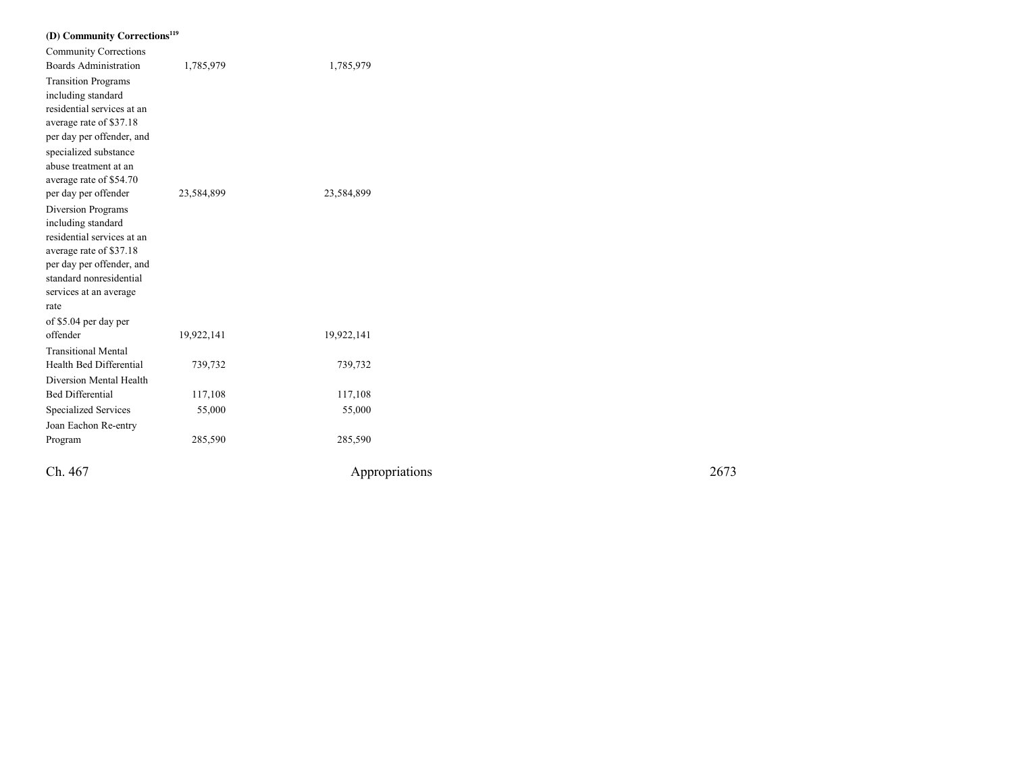| (D) Community Corrections <sup>119</sup>         |            |                |      |
|--------------------------------------------------|------------|----------------|------|
| <b>Community Corrections</b>                     |            |                |      |
| <b>Boards Administration</b>                     | 1,785,979  | 1,785,979      |      |
| <b>Transition Programs</b>                       |            |                |      |
| including standard                               |            |                |      |
| residential services at an                       |            |                |      |
| average rate of \$37.18                          |            |                |      |
| per day per offender, and                        |            |                |      |
| specialized substance                            |            |                |      |
| abuse treatment at an                            |            |                |      |
| average rate of \$54.70                          |            |                |      |
| per day per offender                             | 23,584,899 | 23,584,899     |      |
| Diversion Programs                               |            |                |      |
| including standard<br>residential services at an |            |                |      |
| average rate of \$37.18                          |            |                |      |
| per day per offender, and                        |            |                |      |
| standard nonresidential                          |            |                |      |
| services at an average                           |            |                |      |
| rate                                             |            |                |      |
| of \$5.04 per day per                            |            |                |      |
| offender                                         | 19,922,141 | 19,922,141     |      |
| <b>Transitional Mental</b>                       |            |                |      |
| Health Bed Differential                          | 739,732    | 739,732        |      |
| Diversion Mental Health                          |            |                |      |
| <b>Bed Differential</b>                          | 117,108    | 117,108        |      |
| Specialized Services                             | 55,000     | 55,000         |      |
| Joan Eachon Re-entry                             |            |                |      |
| Program                                          | 285,590    | 285,590        |      |
|                                                  |            |                |      |
| Ch. 467                                          |            | Appropriations | 2673 |
|                                                  |            |                |      |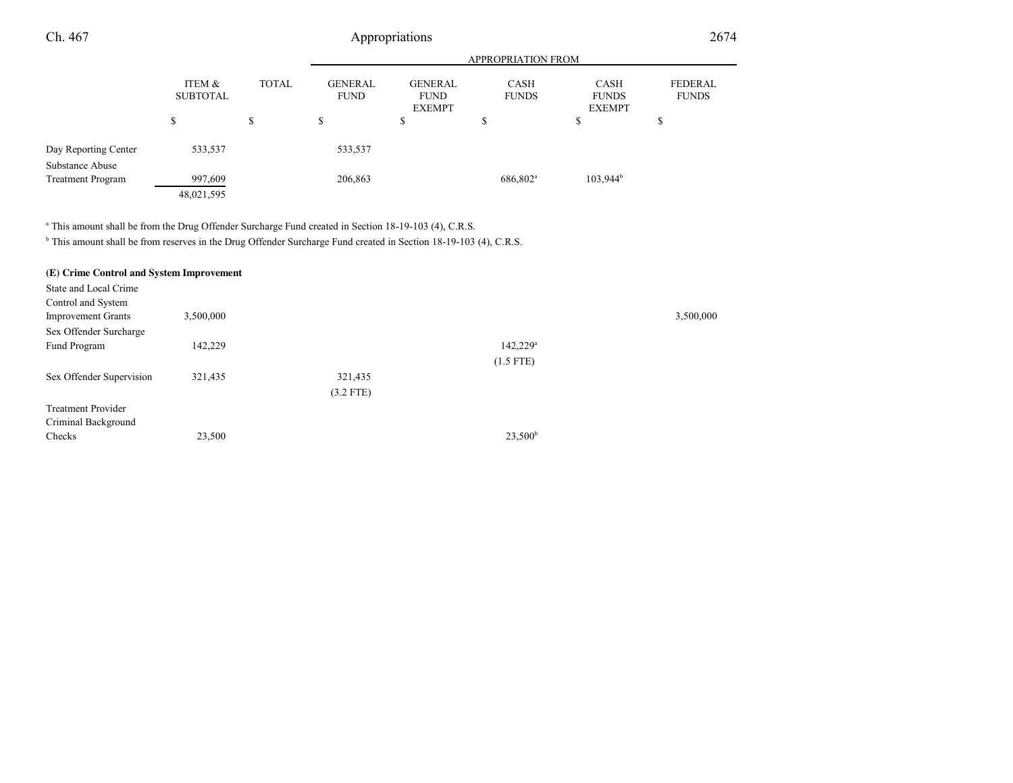#### APPROPRIATION FROMITEM & SUBTOTALTOTAL GENERAL FUNDGENERALFUND EXEMPTCASH FUNDSCASH FUNDS EXEMPTFEDERAL FUNDS\$ \$ \$ \$ \$ \$ \$ Ch. 467 Appropriations <sup>2674</sup> Day Reporting Center 533,537 533,537 Substance Abuse**Treatment Program** Treatment Program 997,609 206,863 686,802<sup>a</sup> 103,944<sup>b</sup>

<sup>a</sup> This amount shall be from the Drug Offender Surcharge Fund created in Section 18-19-103 (4), C.R.S.

48,021,595

<sup>b</sup> This amount shall be from reserves in the Drug Offender Surcharge Fund created in Section 18-19-103 (4), C.R.S.

| (E) Crime Control and System Improvement |           |             |                   |           |
|------------------------------------------|-----------|-------------|-------------------|-----------|
| State and Local Crime                    |           |             |                   |           |
| Control and System                       |           |             |                   |           |
| <b>Improvement Grants</b>                | 3,500,000 |             |                   | 3,500,000 |
| Sex Offender Surcharge                   |           |             |                   |           |
| Fund Program                             | 142,229   |             | $142,229^{\circ}$ |           |
|                                          |           |             | $(1.5$ FTE)       |           |
| Sex Offender Supervision                 | 321,435   | 321,435     |                   |           |
|                                          |           | $(3.2$ FTE) |                   |           |
| <b>Treatment Provider</b>                |           |             |                   |           |
| Criminal Background                      |           |             |                   |           |
| Checks                                   | 23,500    |             | $23,500^b$        |           |
|                                          |           |             |                   |           |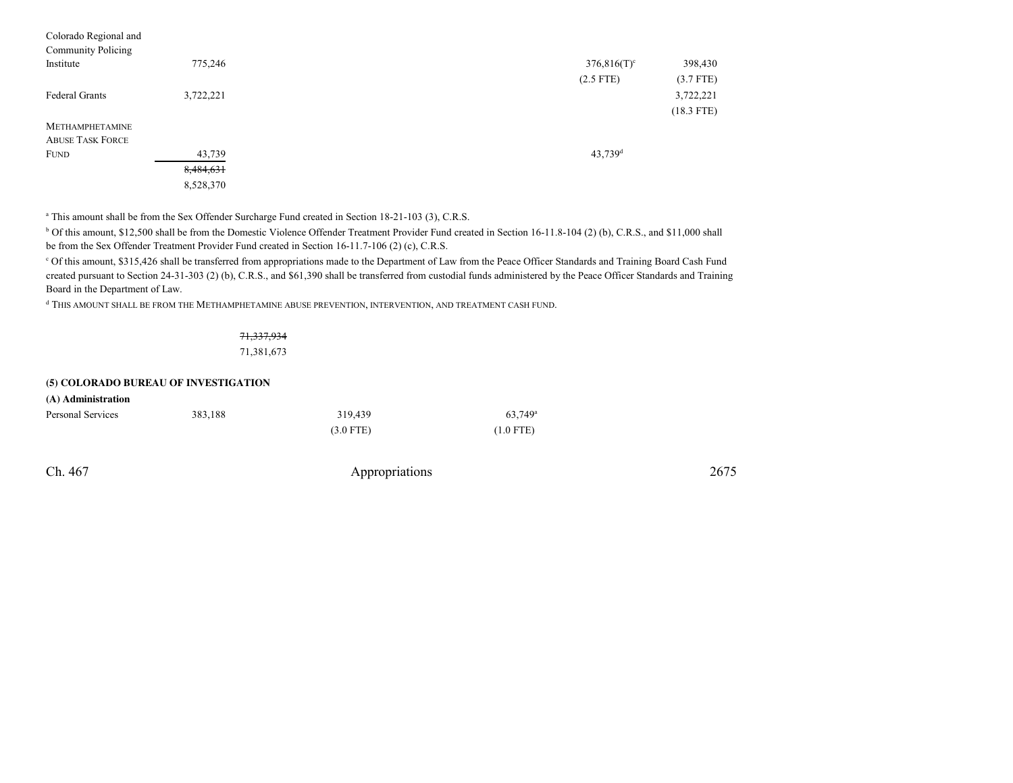| Colorado Regional and   |           |                       |              |
|-------------------------|-----------|-----------------------|--------------|
| Community Policing      |           |                       |              |
| Institute               | 775,246   | $376,816(T)^c$        | 398,430      |
|                         |           | $(2.5$ FTE)           | $(3.7$ FTE)  |
| Federal Grants          | 3,722,221 |                       | 3,722,221    |
|                         |           |                       | $(18.3$ FTE) |
| <b>METHAMPHETAMINE</b>  |           |                       |              |
| <b>ABUSE TASK FORCE</b> |           |                       |              |
| <b>FUND</b>             | 43,739    | $43,739$ <sup>d</sup> |              |
|                         | 8,484,631 |                       |              |
|                         | 8,528,370 |                       |              |

<sup>a</sup> This amount shall be from the Sex Offender Surcharge Fund created in Section 18-21-103 (3), C.R.S.

b Of this amount, \$12,500 shall be from the Domestic Violence Offender Treatment Provider Fund created in Section 16-11.8-104 (2) (b), C.R.S., and \$11,000 shallbe from the Sex Offender Treatment Provider Fund created in Section 16-11.7-106 (2) (c), C.R.S.

c Of this amount, \$315,426 shall be transferred from appropriations made to the Department of Law from the Peace Officer Standards and Training Board Cash Fund created pursuant to Section 24-31-303 (2) (b), C.R.S., and \$61,390 shall be transferred from custodial funds administered by the Peace Officer Standards and TrainingBoard in the Department of Law.

<sup>d</sup> THIS AMOUNT SHALL BE FROM THE METHAMPHETAMINE ABUSE PREVENTION, INTERVENTION, AND TREATMENT CASH FUND.

### 71,337,934

71,381,673

#### **(5) COLORADO BUREAU OF INVESTIGATION**

| (A) Administration |         |             |                  |
|--------------------|---------|-------------|------------------|
| Personal Services  | 383.188 | 319.439     | $63.749^{\circ}$ |
|                    |         | $(3.0$ FTE) | $(1.0$ FTE)      |

Ch. 467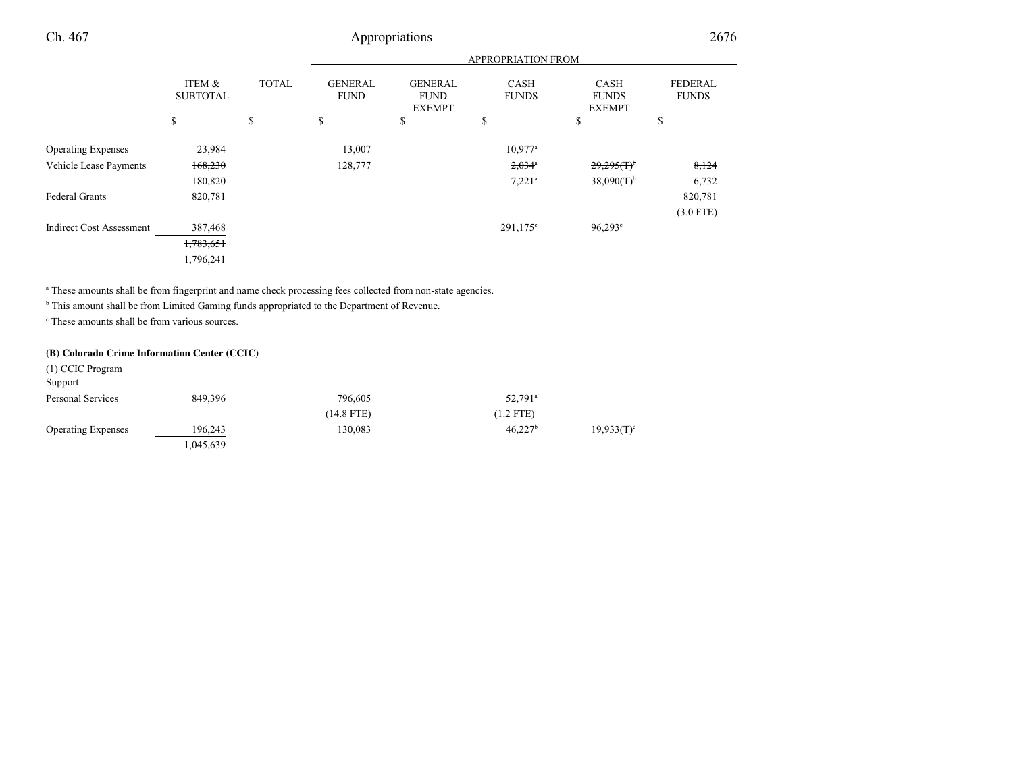|                                 |                           |              | APPROPRIATION FROM            |                                                |                             |                                              |                                |
|---------------------------------|---------------------------|--------------|-------------------------------|------------------------------------------------|-----------------------------|----------------------------------------------|--------------------------------|
|                                 | ITEM &<br><b>SUBTOTAL</b> | <b>TOTAL</b> | <b>GENERAL</b><br><b>FUND</b> | <b>GENERAL</b><br><b>FUND</b><br><b>EXEMPT</b> | <b>CASH</b><br><b>FUNDS</b> | <b>CASH</b><br><b>FUNDS</b><br><b>EXEMPT</b> | <b>FEDERAL</b><br><b>FUNDS</b> |
|                                 | \$                        | \$           | \$                            | \$                                             | S                           | \$                                           | \$                             |
| <b>Operating Expenses</b>       | 23,984                    |              | 13,007                        |                                                | $10.977$ <sup>a</sup>       |                                              |                                |
| Vehicle Lease Payments          | 168,230                   |              | 128,777                       |                                                | $2,034$ <sup>a</sup>        | $29,295(f)^6$                                | 8,124                          |
|                                 | 180,820                   |              |                               |                                                | $7.221$ <sup>a</sup>        | $38,090(T)$ <sup>b</sup>                     | 6,732                          |
| <b>Federal Grants</b>           | 820,781                   |              |                               |                                                |                             |                                              | 820,781                        |
|                                 |                           |              |                               |                                                |                             |                                              | $(3.0$ FTE)                    |
| <b>Indirect Cost Assessment</b> | 387,468                   |              |                               |                                                | $291,175^{\circ}$           | $96,293^{\circ}$                             |                                |
|                                 | 1,783,651                 |              |                               |                                                |                             |                                              |                                |
|                                 | 1,796,241                 |              |                               |                                                |                             |                                              |                                |

a These amounts shall be from fingerprint and name check processing fees collected from non-state agencies.

<sup>b</sup> This amount shall be from Limited Gaming funds appropriated to the Department of Revenue.

<sup>c</sup> These amounts shall be from various sources.

#### **(B) Colorado Crime Information Center (CCIC)**

| (1) CCIC Program          |           |            |                       |               |
|---------------------------|-----------|------------|-----------------------|---------------|
| Support                   |           |            |                       |               |
| Personal Services         | 849,396   | 796,605    | $52,791$ <sup>a</sup> |               |
|                           |           | (14.8 FTE) | $(1.2$ FTE)           |               |
| <b>Operating Expenses</b> | 196,243   | 130,083    | 46.227 <sup>b</sup>   | $19,933(T)^c$ |
|                           | 1,045,639 |            |                       |               |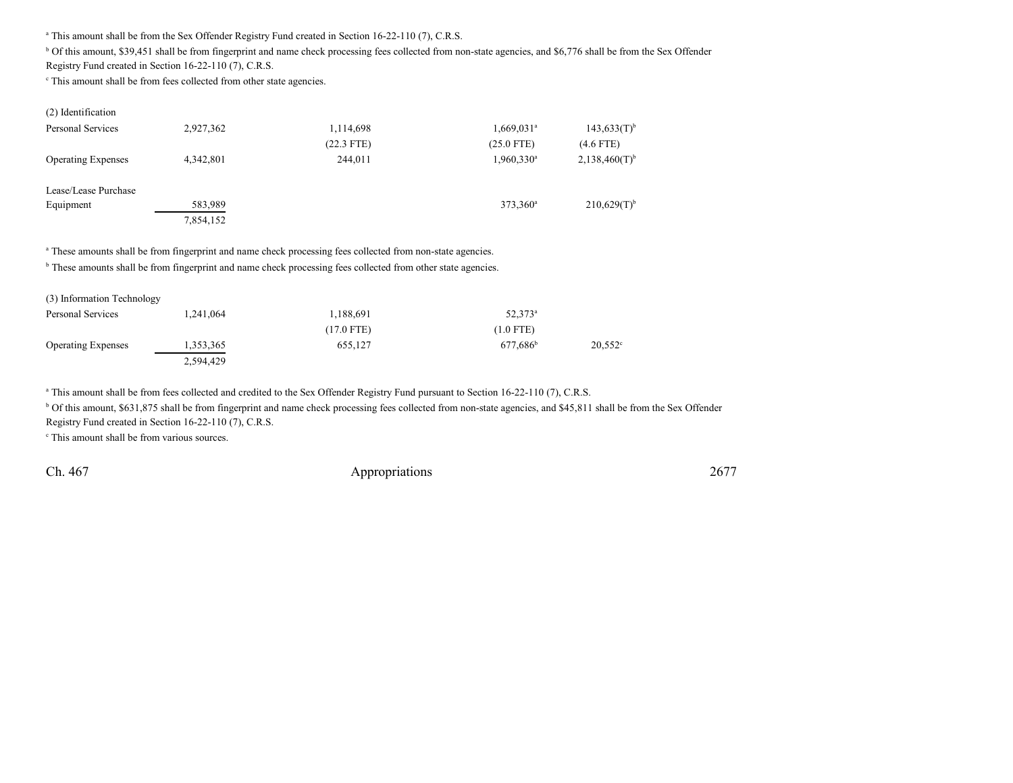<sup>a</sup> This amount shall be from the Sex Offender Registry Fund created in Section 16-22-110 (7), C.R.S.

<sup>b</sup> Of this amount, \$39,451 shall be from fingerprint and name check processing fees collected from non-state agencies, and \$6,776 shall be from the Sex Offender

Registry Fund created in Section 16-22-110 (7), C.R.S.

c This amount shall be from fees collected from other state agencies.

| (2) Identification        |           |              |                          |                             |
|---------------------------|-----------|--------------|--------------------------|-----------------------------|
| Personal Services         | 2,927,362 | 1,114,698    | $1,669,031$ <sup>a</sup> | $143,633(T)$ <sup>b</sup>   |
|                           |           | $(22.3$ FTE) | $(25.0$ FTE)             | $(4.6$ FTE)                 |
| <b>Operating Expenses</b> | 4,342,801 | 244,011      | $1,960,330$ <sup>a</sup> | $2,138,460(T)$ <sup>b</sup> |
| Lease/Lease Purchase      |           |              |                          |                             |
| Equipment                 | 583,989   |              | 373,360 <sup>a</sup>     | $210,629(T)$ <sup>b</sup>   |
|                           | 7,854,152 |              |                          |                             |

<sup>a</sup> These amounts shall be from fingerprint and name check processing fees collected from non-state agencies.

<sup>b</sup> These amounts shall be from fingerprint and name check processing fees collected from other state agencies.

| (3) Information Technology |           |            |                  |            |
|----------------------------|-----------|------------|------------------|------------|
| Personal Services          | .241,064  | 1,188,691  | $52.373^{\circ}$ |            |
|                            |           | (17.0 FTE) | $(1.0$ FTE)      |            |
| <b>Operating Expenses</b>  | 1,353,365 | 655.127    | $677.686^b$      | $20.552$ ° |
|                            | 2,594,429 |            |                  |            |

<sup>a</sup> This amount shall be from fees collected and credited to the Sex Offender Registry Fund pursuant to Section 16-22-110 (7), C.R.S.

<sup>b</sup> Of this amount, \$631,875 shall be from fingerprint and name check processing fees collected from non-state agencies, and \$45,811 shall be from the Sex Offender

Registry Fund created in Section 16-22-110 (7), C.R.S.

c This amount shall be from various sources.

Ch. 467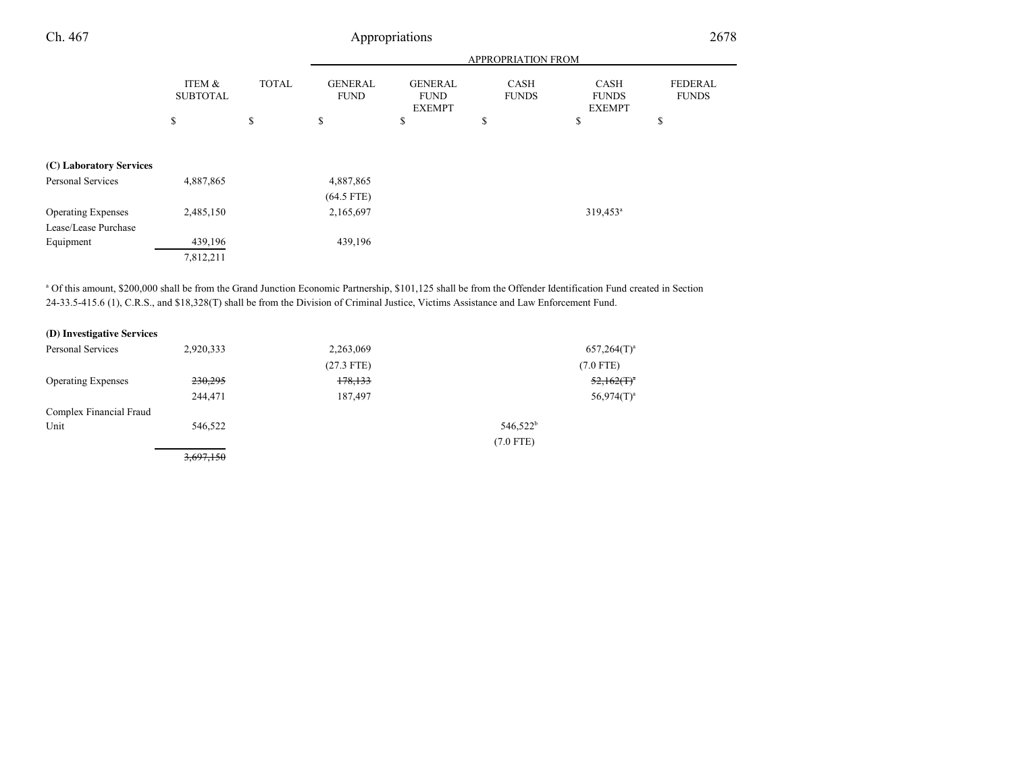| Ch. 467                   | Appropriations            |              |                               |                                                |                             |                                              | 2678                           |  |
|---------------------------|---------------------------|--------------|-------------------------------|------------------------------------------------|-----------------------------|----------------------------------------------|--------------------------------|--|
|                           |                           |              |                               |                                                | APPROPRIATION FROM          |                                              |                                |  |
|                           | ITEM &<br><b>SUBTOTAL</b> | <b>TOTAL</b> | <b>GENERAL</b><br><b>FUND</b> | <b>GENERAL</b><br><b>FUND</b><br><b>EXEMPT</b> | <b>CASH</b><br><b>FUNDS</b> | <b>CASH</b><br><b>FUNDS</b><br><b>EXEMPT</b> | <b>FEDERAL</b><br><b>FUNDS</b> |  |
|                           | \$                        | \$           | \$                            | \$                                             | \$                          | \$                                           | \$                             |  |
| (C) Laboratory Services   |                           |              |                               |                                                |                             |                                              |                                |  |
| Personal Services         | 4,887,865                 |              | 4,887,865<br>$(64.5$ FTE)     |                                                |                             |                                              |                                |  |
| <b>Operating Expenses</b> | 2,485,150                 |              | 2,165,697                     |                                                |                             | 319,453 <sup>a</sup>                         |                                |  |
| Lease/Lease Purchase      |                           |              |                               |                                                |                             |                                              |                                |  |
| Equipment                 | 439,196                   |              | 439,196                       |                                                |                             |                                              |                                |  |
|                           | 7,812,211                 |              |                               |                                                |                             |                                              |                                |  |

<sup>a</sup> Of this amount, \$200,000 shall be from the Grand Junction Economic Partnership, \$101,125 shall be from the Offender Identification Fund created in Section 24-33.5-415.6 (1), C.R.S., and \$18,328(T) shall be from the Division of Criminal Justice, Victims Assistance and Law Enforcement Fund.

| (D) Investigative Services |  |
|----------------------------|--|
|----------------------------|--|

| Personal Services         | 2,920,333 | 2,263,069    | $657,264(T)^a$       |  |
|---------------------------|-----------|--------------|----------------------|--|
|                           |           | $(27.3$ FTE) | $(7.0$ FTE)          |  |
| <b>Operating Expenses</b> | 230,295   | 178,133      | $52,162(T)^{a}$      |  |
|                           | 244,471   | 187,497      | $56,974(T)^a$        |  |
| Complex Financial Fraud   |           |              |                      |  |
| Unit                      | 546,522   |              | 546,522 <sup>b</sup> |  |
|                           |           |              | $(7.0$ FTE)          |  |
|                           | 3,697,150 |              |                      |  |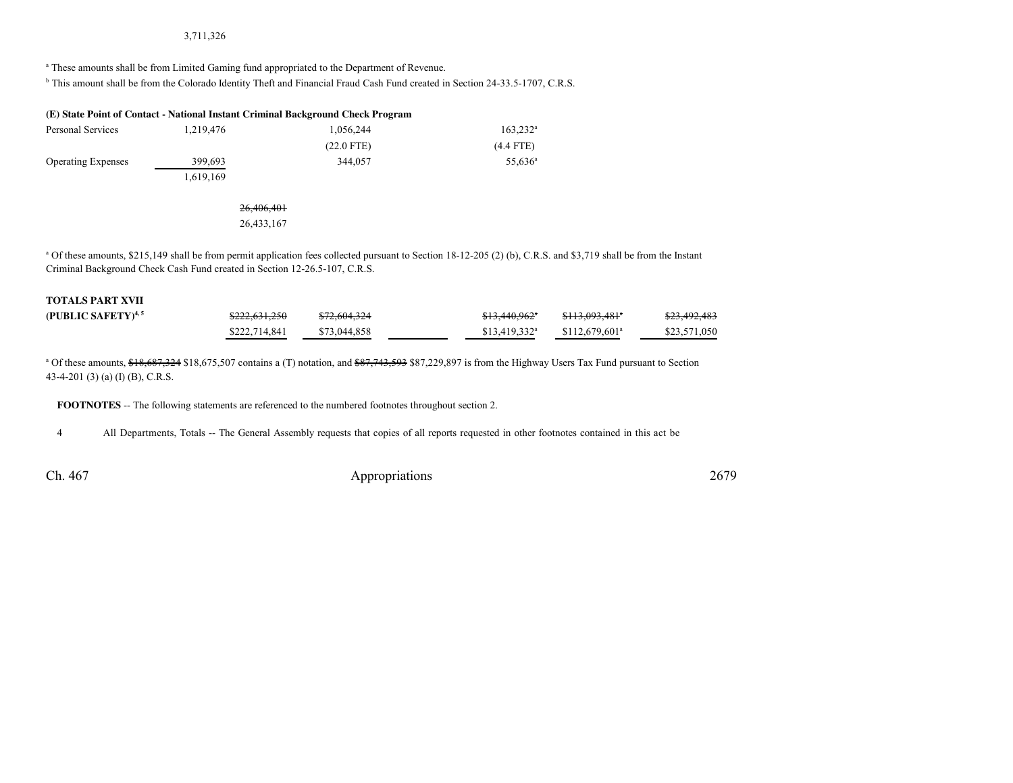#### 3,711,326

<sup>a</sup> These amounts shall be from Limited Gaming fund appropriated to the Department of Revenue.

<sup>b</sup> This amount shall be from the Colorado Identity Theft and Financial Fraud Cash Fund created in Section 24-33.5-1707, C.R.S.

#### **(E) State Point of Contact - National Instant Criminal Background Check Program**

| Personal Services         | 1.219.476 | 1.056.244    | $163.232^{\circ}$ |
|---------------------------|-----------|--------------|-------------------|
|                           |           | $(22.0$ FTE) | $(4.4$ FTE)       |
| <b>Operating Expenses</b> | 399.693   | 344,057      | $55,636^{\circ}$  |
|                           | 1,619,169 |              |                   |

#### 26,406,40126,433,167

<sup>a</sup> Of these amounts, \$215,149 shall be from permit application fees collected pursuant to Section 18-12-205 (2) (b), C.R.S. and \$3,719 shall be from the Instant Criminal Background Check Cash Fund created in Section 12-26.5-107, C.R.S.

| <b>TOTALS PART XVII</b> |                          |              |                            |                                       |              |
|-------------------------|--------------------------|--------------|----------------------------|---------------------------------------|--------------|
| (PUBLIC SAFETY) $4,5$   | <del>\$222,631,250</del> | \$72,604,324 | $$13,440,962$ <sup>*</sup> | <del>\$113,093,481</del> <sup>a</sup> | \$23,492,483 |
|                         | \$222,714,841            | \$73,044,858 | $$13.419.332$ <sup>a</sup> | $$112.679.601$ <sup>a</sup>           | \$23,571,050 |

<sup>a</sup> Of these amounts, \$18,687,324 \$18,675,507 contains a (T) notation, and \$87,743,593 \$87,229,897 is from the Highway Users Tax Fund pursuant to Section 43-4-201 (3) (a) (I) (B), C.R.S.

**FOOTNOTES** -- The following statements are referenced to the numbered footnotes throughout section 2.

<sup>4</sup> All Departments, Totals -- The General Assembly requests that copies of all reports requested in other footnotes contained in this act be

Ch. 467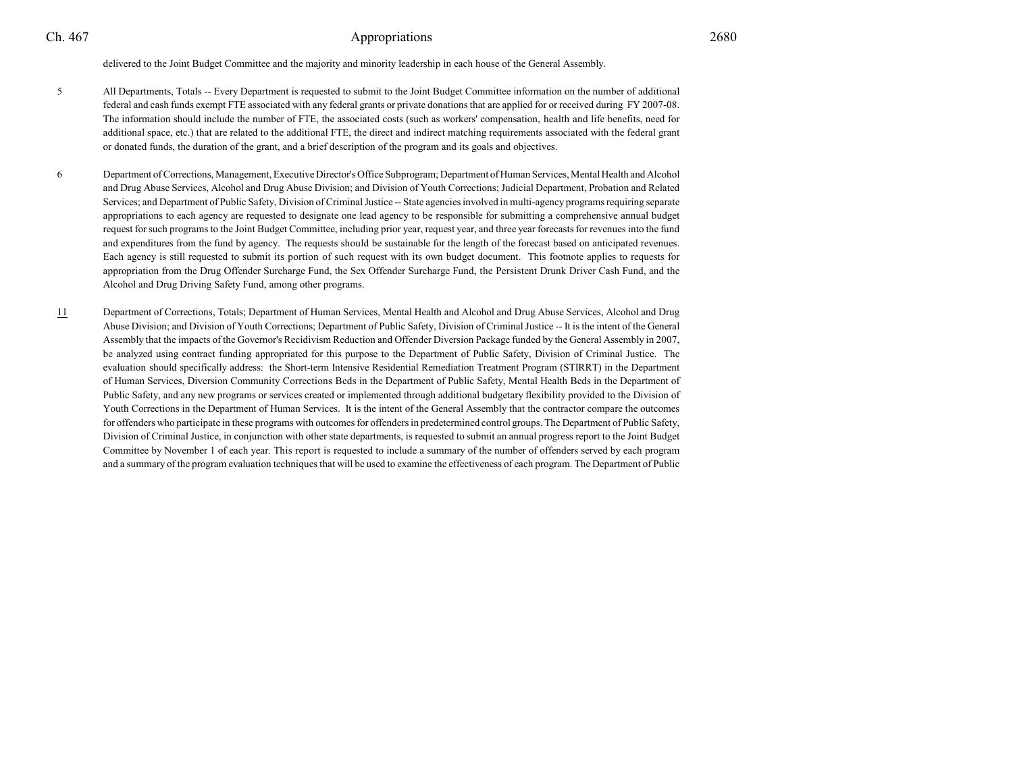delivered to the Joint Budget Committee and the majority and minority leadership in each house of the General Assembly.

- <sup>5</sup> All Departments, Totals -- Every Department is requested to submit to the Joint Budget Committee information on the number of additional federal and cash funds exempt FTE associated with any federal grants or private donations that are applied for or received during FY 2007-08.The information should include the number of FTE, the associated costs (such as workers' compensation, health and life benefits, need for additional space, etc.) that are related to the additional FTE, the direct and indirect matching requirements associated with the federal grantor donated funds, the duration of the grant, and a brief description of the program and its goals and objectives.
- <sup>6</sup> Department of Corrections, Management, Executive Director's Office Subprogram; Department of Human Services, Mental Health and Alcohol and Drug Abuse Services, Alcohol and Drug Abuse Division; and Division of Youth Corrections; Judicial Department, Probation and Related Services; and Department of Public Safety, Division of Criminal Justice -- State agencies involved in multi-agency programs requiring separate appropriations to each agency are requested to designate one lead agency to be responsible for submitting a comprehensive annual budgetrequest for such programs to the Joint Budget Committee, including prior year, request year, and three year forecasts for revenues into the fund and expenditures from the fund by agency. The requests should be sustainable for the length of the forecast based on anticipated revenues.Each agency is still requested to submit its portion of such request with its own budget document. This footnote applies to requests for appropriation from the Drug Offender Surcharge Fund, the Sex Offender Surcharge Fund, the Persistent Drunk Driver Cash Fund, and theAlcohol and Drug Driving Safety Fund, among other programs.
- 11 Department of Corrections, Totals; Department of Human Services, Mental Health and Alcohol and Drug Abuse Services, Alcohol and Drug Abuse Division; and Division of Youth Corrections; Department of Public Safety, Division of Criminal Justice -- It is the intent of the GeneralAssembly that the impacts of the Governor's Recidivism Reduction and Offender Diversion Package funded by the General Assembly in 2007,be analyzed using contract funding appropriated for this purpose to the Department of Public Safety, Division of Criminal Justice. The evaluation should specifically address: the Short-term Intensive Residential Remediation Treatment Program (STIRRT) in the Departmentof Human Services, Diversion Community Corrections Beds in the Department of Public Safety, Mental Health Beds in the Department ofPublic Safety, and any new programs or services created or implemented through additional budgetary flexibility provided to the Division ofYouth Corrections in the Department of Human Services. It is the intent of the General Assembly that the contractor compare the outcomes for offenders who participate in these programs with outcomes for offenders in predetermined control groups. The Department of Public Safety,Division of Criminal Justice, in conjunction with other state departments, is requested to submit an annual progress report to the Joint BudgetCommittee by November 1 of each year. This report is requested to include a summary of the number of offenders served by each programand a summary of the program evaluation techniques that will be used to examine the effectiveness of each program. The Department of Public